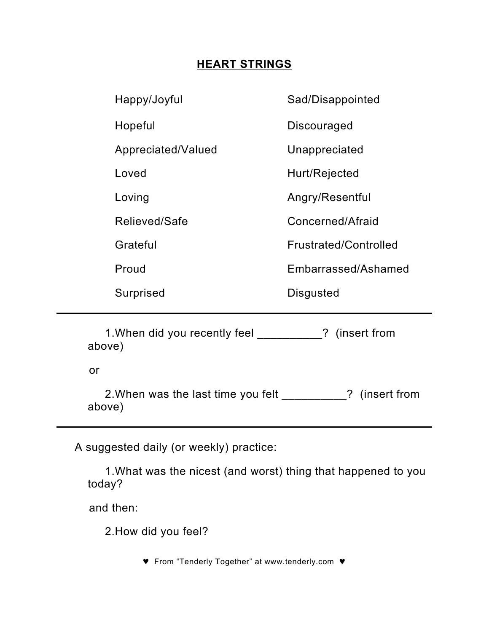## **HEART STRINGS**

| Happy/Joyful       | Sad/Disappointed      |
|--------------------|-----------------------|
| Hopeful            | <b>Discouraged</b>    |
| Appreciated/Valued | Unappreciated         |
| Loved              | Hurt/Rejected         |
| Loving             | Angry/Resentful       |
| Relieved/Safe      | Concerned/Afraid      |
| Grateful           | Frustrated/Controlled |
| Proud              | Embarrassed/Ashamed   |
| Surprised          | Disgusted             |
|                    |                       |

1.When did you recently feel \_\_\_\_\_\_\_\_\_\_? (insert from above)

or

2.When was the last time you felt \_\_\_\_\_\_\_\_\_\_? (insert from above)

A suggested daily (or weekly) practice:

1.What was the nicest (and worst) thing that happened to you today?

and then:

2.How did you feel?

♥ From "Tenderly Together" at www.tenderly.com ♥